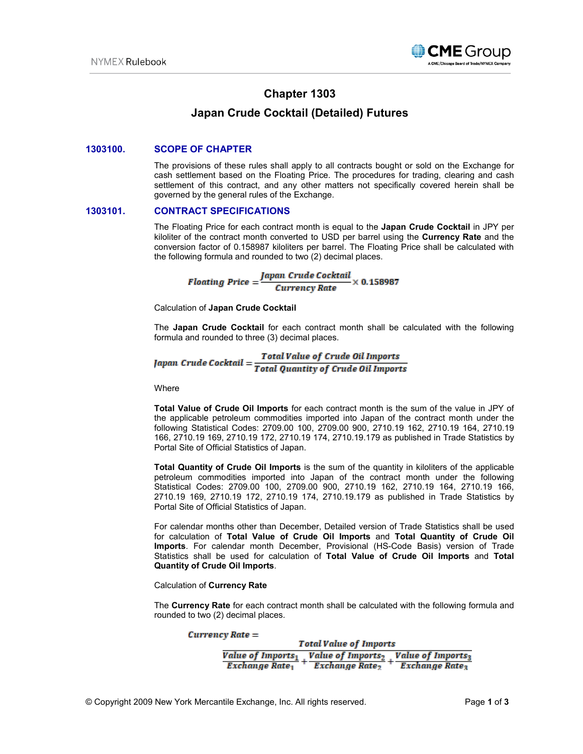

# **Chapter 1303**

# **Japan Crude Cocktail (Detailed) Futures**

## **1303100. SCOPE OF CHAPTER**

The provisions of these rules shall apply to all contracts bought or sold on the Exchange for cash settlement based on the Floating Price. The procedures for trading, clearing and cash settlement of this contract, and any other matters not specifically covered herein shall be governed by the general rules of the Exchange.

### **1303101. CONTRACT SPECIFICATIONS**

The Floating Price for each contract month is equal to the **Japan Crude Cocktail** in JPY per kiloliter of the contract month converted to USD per barrel using the **Currency Rate** and the conversion factor of 0.158987 kiloliters per barrel. The Floating Price shall be calculated with the following formula and rounded to two (2) decimal places.

$$
Ploating\ Price = \frac{Japan\ Circle\ Cocktail}{Current\ C} \times 0.158987
$$

Calculation of **Japan Crude Cocktail**

The **Japan Crude Cocktail** for each contract month shall be calculated with the following formula and rounded to three (3) decimal places.

$$
Iapan~Crude Cocktail = \frac{Total~Value~of~Crude~Oil~Imports}{Total~Quantity~of~Crude~Oil~Imports}
$$

**Where** 

**Total Value of Crude Oil Imports** for each contract month is the sum of the value in JPY of the applicable petroleum commodities imported into Japan of the contract month under the following Statistical Codes: 2709.00 100, 2709.00 900, 2710.19 162, 2710.19 164, 2710.19 166, 2710.19 169, 2710.19 172, 2710.19 174, 2710.19.179 as published in Trade Statistics by Portal Site of Official Statistics of Japan.

**Total Quantity of Crude Oil Imports** is the sum of the quantity in kiloliters of the applicable petroleum commodities imported into Japan of the contract month under the following Statistical Codes: 2709.00 100, 2709.00 900, 2710.19 162, 2710.19 164, 2710.19 166, 2710.19 169, 2710.19 172, 2710.19 174, 2710.19.179 as published in Trade Statistics by Portal Site of Official Statistics of Japan.

For calendar months other than December, Detailed version of Trade Statistics shall be used for calculation of **Total Value of Crude Oil Imports** and **Total Quantity of Crude Oil Imports**. For calendar month December, Provisional (HS-Code Basis) version of Trade Statistics shall be used for calculation of **Total Value of Crude Oil Imports** and **Total Quantity of Crude Oil Imports**.

### Calculation of **Currency Rate**

The **Currency Rate** for each contract month shall be calculated with the following formula and rounded to two (2) decimal places.

Currency Rate =

| $\mathbf{y}$ and $\mathbf{y} =$<br>Total Value of Imports |                               |                          |
|-----------------------------------------------------------|-------------------------------|--------------------------|
| Value of Imports <sub>1</sub>                             | Value of Imports <sub>2</sub> | <b>Value of Imports3</b> |
| Exchange Rate <sub>1</sub>                                | Exchange Rate <sub>2</sub>    | <b>Exchange Rate3</b>    |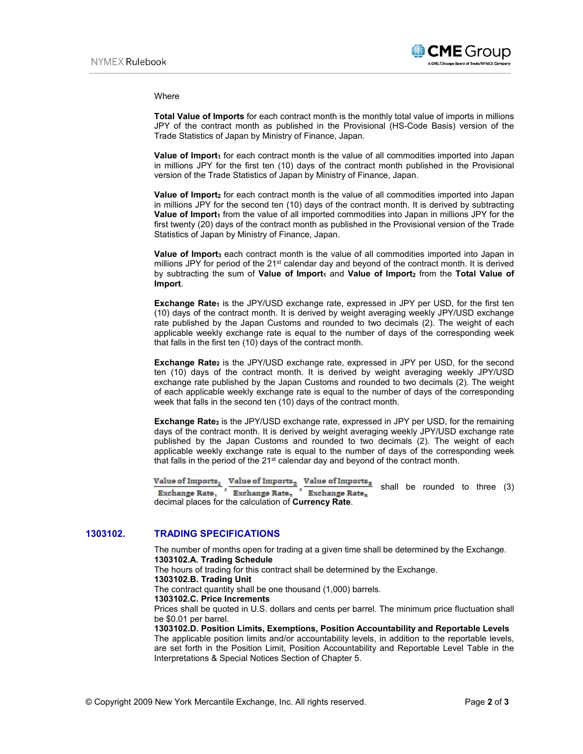#### **Where**

**Total Value of Imports** for each contract month is the monthly total value of imports in millions JPY of the contract month as published in the Provisional (HS-Code Basis) version of the Trade Statistics of Japan by Ministry of Finance, Japan.

**Value of Import**<sub>1</sub> for each contract month is the value of all commodities imported into Japan in millions JPY for the first ten (10) days of the contract month published in the Provisional version of the Trade Statistics of Japan by Ministry of Finance, Japan.

**Value of Import**<sub>2</sub> for each contract month is the value of all commodities imported into Japan in millions JPY for the second ten (10) days of the contract month. It is derived by subtracting Value of Import<sub>1</sub> from the value of all imported commodities into Japan in millions JPY for the first twenty (20) days of the contract month as published in the Provisional version of the Trade Statistics of Japan by Ministry of Finance, Japan.

**Value of Import**<sub>3</sub> each contract month is the value of all commodities imported into Japan in millions JPY for period of the 21<sup>st</sup> calendar day and beyond of the contract month. It is derived by subtracting the sum of **Value of Import**<sub>1</sub> and **Value of Import**<sub>2</sub> from the **Total Value of Import**.

**Exchange Rate**<sub>1</sub> is the JPY/USD exchange rate, expressed in JPY per USD, for the first ten (10) days of the contract month. It is derived by weight averaging weekly JPY/USD exchange rate published by the Japan Customs and rounded to two decimals (2). The weight of each applicable weekly exchange rate is equal to the number of days of the corresponding week that falls in the first ten (10) days of the contract month.

**Exchange Rate**<sub>2</sub> is the JPY/USD exchange rate, expressed in JPY per USD, for the second ten (10) days of the contract month. It is derived by weight averaging weekly JPY/USD exchange rate published by the Japan Customs and rounded to two decimals (2). The weight of each applicable weekly exchange rate is equal to the number of days of the corresponding week that falls in the second ten (10) days of the contract month.

**Exchange Rate**<sub>3</sub> is the JPY/USD exchange rate, expressed in JPY per USD, for the remaining days of the contract month. It is derived by weight averaging weekly JPY/USD exchange rate published by the Japan Customs and rounded to two decimals (2). The weight of each applicable weekly exchange rate is equal to the number of days of the corresponding week that falls in the period of the 21<sup>st</sup> calendar day and beyond of the contract month.

Value of  $\text{Imports}_{\underline{1}}$  Value of  $\text{Imports}_{\underline{2}}$  Value of  $\text{Imports}_{\underline{3}}$ 

shall be rounded to three (3) **Exchange Rate**, **Exchange Rate**<sub>n</sub> **Exchange Rate**<sub>n</sub> decimal places for the calculation of **Currency Rate**. Exchange Rate, Exchange Rate,

# **1303102. TRADING SPECIFICATIONS**

The number of months open for trading at a given time shall be determined by the Exchange. **1303102.A. Trading Schedule**

The hours of trading for this contract shall be determined by the Exchange.

**1303102.B. Trading Unit**

The contract quantity shall be one thousand (1,000) barrels.

**1303102.C. Price Increments**

Prices shall be quoted in U.S. dollars and cents per barrel. The minimum price fluctuation shall be \$0.01 per barrel.

**1303102.D. Position Limits, Exemptions, Position Accountability and Reportable Levels**  The applicable position limits and/or accountability levels, in addition to the reportable levels, are set forth in the Position Limit, Position Accountability and Reportable Level Table in the Interpretations & Special Notices Section of Chapter 5.